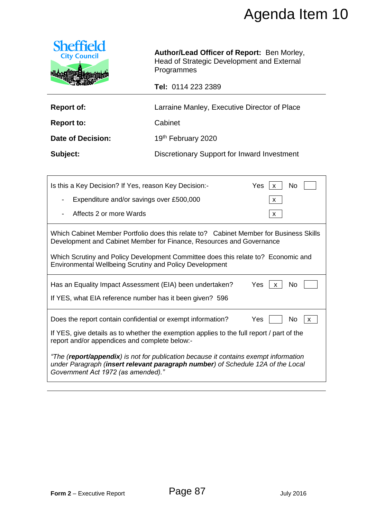

| <b>Report of:</b> | Larraine Manley, Executive Director of Place |
|-------------------|----------------------------------------------|
|-------------------|----------------------------------------------|

|                                                                                                                                                                                                               |                                                                                                                                                                | Agenda Item 10            |  |  |
|---------------------------------------------------------------------------------------------------------------------------------------------------------------------------------------------------------------|----------------------------------------------------------------------------------------------------------------------------------------------------------------|---------------------------|--|--|
| <b>Sheffield</b><br><b>City Council</b>                                                                                                                                                                       | Author/Lead Officer of Report: Ben Morley,<br>Head of Strategic Development and External<br>Programmes                                                         |                           |  |  |
|                                                                                                                                                                                                               | Tel: 0114 223 2389                                                                                                                                             |                           |  |  |
| <b>Report of:</b>                                                                                                                                                                                             | Larraine Manley, Executive Director of Place                                                                                                                   |                           |  |  |
| <b>Report to:</b>                                                                                                                                                                                             | Cabinet                                                                                                                                                        |                           |  |  |
| <b>Date of Decision:</b>                                                                                                                                                                                      | 19th February 2020                                                                                                                                             |                           |  |  |
| Subject:                                                                                                                                                                                                      | Discretionary Support for Inward Investment                                                                                                                    |                           |  |  |
|                                                                                                                                                                                                               |                                                                                                                                                                |                           |  |  |
| Is this a Key Decision? If Yes, reason Key Decision:-<br>Yes<br>No<br>X                                                                                                                                       |                                                                                                                                                                |                           |  |  |
| Expenditure and/or savings over £500,000<br>X                                                                                                                                                                 |                                                                                                                                                                |                           |  |  |
| Affects 2 or more Wards                                                                                                                                                                                       |                                                                                                                                                                | X                         |  |  |
|                                                                                                                                                                                                               | Which Cabinet Member Portfolio does this relate to? Cabinet Member for Business Skills<br>Development and Cabinet Member for Finance, Resources and Governance |                           |  |  |
| <b>Environmental Wellbeing Scrutiny and Policy Development</b>                                                                                                                                                | Which Scrutiny and Policy Development Committee does this relate to? Economic and                                                                              |                           |  |  |
| Has an Equality Impact Assessment (EIA) been undertaken?<br>Yes $ x $<br>No                                                                                                                                   |                                                                                                                                                                |                           |  |  |
| If YES, what EIA reference number has it been given? 596                                                                                                                                                      |                                                                                                                                                                |                           |  |  |
| Does the report contain confidential or exempt information?                                                                                                                                                   |                                                                                                                                                                | Yes<br>No<br>$\mathsf{x}$ |  |  |
| If YES, give details as to whether the exemption applies to the full report / part of the<br>report and/or appendices and complete below:-                                                                    |                                                                                                                                                                |                           |  |  |
| "The (report/appendix) is not for publication because it contains exempt information<br>under Paragraph (insert relevant paragraph number) of Schedule 12A of the Local<br>Government Act 1972 (as amended)." |                                                                                                                                                                |                           |  |  |
|                                                                                                                                                                                                               |                                                                                                                                                                |                           |  |  |
|                                                                                                                                                                                                               |                                                                                                                                                                |                           |  |  |
|                                                                                                                                                                                                               |                                                                                                                                                                |                           |  |  |
|                                                                                                                                                                                                               |                                                                                                                                                                |                           |  |  |
|                                                                                                                                                                                                               |                                                                                                                                                                |                           |  |  |
|                                                                                                                                                                                                               |                                                                                                                                                                |                           |  |  |
|                                                                                                                                                                                                               |                                                                                                                                                                |                           |  |  |
| Form 2 - Executive Report                                                                                                                                                                                     | Page 87                                                                                                                                                        | <b>July 2016</b>          |  |  |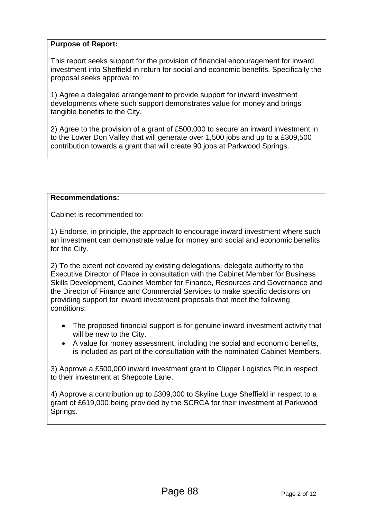### **Purpose of Report:**

This report seeks support for the provision of financial encouragement for inward investment into Sheffield in return for social and economic benefits. Specifically the proposal seeks approval to:

1) Agree a delegated arrangement to provide support for inward investment developments where such support demonstrates value for money and brings tangible benefits to the City.

2) Agree to the provision of a grant of £500,000 to secure an inward investment in to the Lower Don Valley that will generate over 1,500 jobs and up to a £309,500 contribution towards a grant that will create 90 jobs at Parkwood Springs.

### **Recommendations:**

Cabinet is recommended to:

1) Endorse, in principle, the approach to encourage inward investment where such an investment can demonstrate value for money and social and economic benefits for the City.

2) To the extent not covered by existing delegations, delegate authority to the Executive Director of Place in consultation with the Cabinet Member for Business Skills Development, Cabinet Member for Finance, Resources and Governance and the Director of Finance and Commercial Services to make specific decisions on providing support for inward investment proposals that meet the following conditions:

- The proposed financial support is for genuine inward investment activity that will be new to the City.
- A value for money assessment, including the social and economic benefits, is included as part of the consultation with the nominated Cabinet Members.

3) Approve a £500,000 inward investment grant to Clipper Logistics Plc in respect to their investment at Shepcote Lane.

4) Approve a contribution up to £309,000 to Skyline Luge Sheffield in respect to a grant of £619,000 being provided by the SCRCA for their investment at Parkwood Springs.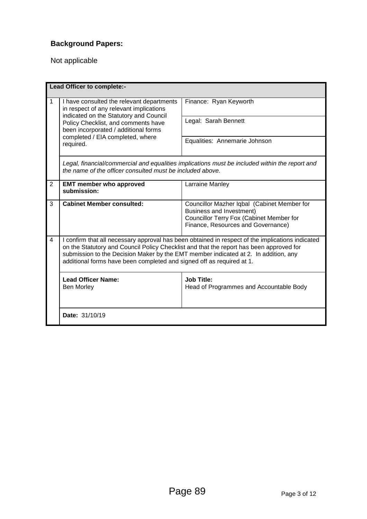# **Background Papers:**

Not applicable

| Lead Officer to complete:- |                                                                                                                                                                                                                                                                                                                                                             |                                                                                                                                                                  |  |
|----------------------------|-------------------------------------------------------------------------------------------------------------------------------------------------------------------------------------------------------------------------------------------------------------------------------------------------------------------------------------------------------------|------------------------------------------------------------------------------------------------------------------------------------------------------------------|--|
| 1                          | I have consulted the relevant departments<br>in respect of any relevant implications<br>indicated on the Statutory and Council<br>Policy Checklist, and comments have<br>been incorporated / additional forms                                                                                                                                               | Finance: Ryan Keyworth                                                                                                                                           |  |
|                            |                                                                                                                                                                                                                                                                                                                                                             | Legal: Sarah Bennett                                                                                                                                             |  |
|                            | completed / EIA completed, where<br>required.                                                                                                                                                                                                                                                                                                               | Equalities: Annemarie Johnson                                                                                                                                    |  |
|                            | the name of the officer consulted must be included above.                                                                                                                                                                                                                                                                                                   | Legal, financial/commercial and equalities implications must be included within the report and                                                                   |  |
| $\overline{2}$             | <b>EMT member who approved</b><br>submission:                                                                                                                                                                                                                                                                                                               | Larraine Manley                                                                                                                                                  |  |
| 3                          | <b>Cabinet Member consulted:</b>                                                                                                                                                                                                                                                                                                                            | Councillor Mazher Iqbal (Cabinet Member for<br><b>Business and Investment)</b><br>Councillor Terry Fox (Cabinet Member for<br>Finance, Resources and Governance) |  |
| $\overline{4}$             | I confirm that all necessary approval has been obtained in respect of the implications indicated<br>on the Statutory and Council Policy Checklist and that the report has been approved for<br>submission to the Decision Maker by the EMT member indicated at 2. In addition, any<br>additional forms have been completed and signed off as required at 1. |                                                                                                                                                                  |  |
|                            | <b>Lead Officer Name:</b><br><b>Ben Morley</b>                                                                                                                                                                                                                                                                                                              | <b>Job Title:</b><br>Head of Programmes and Accountable Body                                                                                                     |  |
|                            | Date: 31/10/19                                                                                                                                                                                                                                                                                                                                              |                                                                                                                                                                  |  |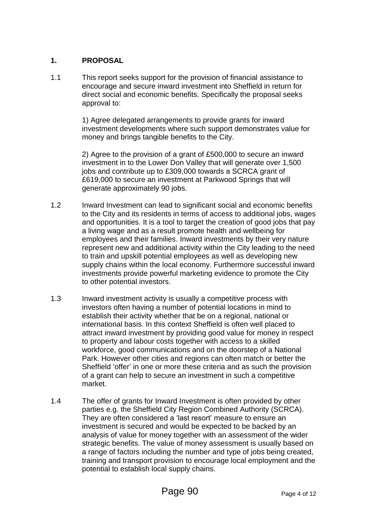### **1. PROPOSAL**

1.1 This report seeks support for the provision of financial assistance to encourage and secure inward investment into Sheffield in return for direct social and economic benefits. Specifically the proposal seeks approval to:

> 1) Agree delegated arrangements to provide grants for inward investment developments where such support demonstrates value for money and brings tangible benefits to the City.

2) Agree to the provision of a grant of £500,000 to secure an inward investment in to the Lower Don Valley that will generate over 1,500 jobs and contribute up to £309,000 towards a SCRCA grant of £619,000 to secure an investment at Parkwood Springs that will generate approximately 90 jobs.

- 1.2 Inward Investment can lead to significant social and economic benefits to the City and its residents in terms of access to additional jobs, wages and opportunities. It is a tool to target the creation of good jobs that pay a living wage and as a result promote health and wellbeing for employees and their families. Inward investments by their very nature represent new and additional activity within the City leading to the need to train and upskill potential employees as well as developing new supply chains within the local economy. Furthermore successful inward investments provide powerful marketing evidence to promote the City to other potential investors.
- 1.3 Inward investment activity is usually a competitive process with investors often having a number of potential locations in mind to establish their activity whether that be on a regional, national or international basis. In this context Sheffield is often well placed to attract inward investment by providing good value for money in respect to property and labour costs together with access to a skilled workforce, good communications and on the doorstep of a National Park. However other cities and regions can often match or better the Sheffield 'offer' in one or more these criteria and as such the provision of a grant can help to secure an investment in such a competitive market.
- 1.4 The offer of grants for Inward Investment is often provided by other parties e.g. the Sheffield City Region Combined Authority (SCRCA). They are often considered a 'last resort' measure to ensure an investment is secured and would be expected to be backed by an analysis of value for money together with an assessment of the wider strategic benefits. The value of money assessment is usually based on a range of factors including the number and type of jobs being created, training and transport provision to encourage local employment and the potential to establish local supply chains.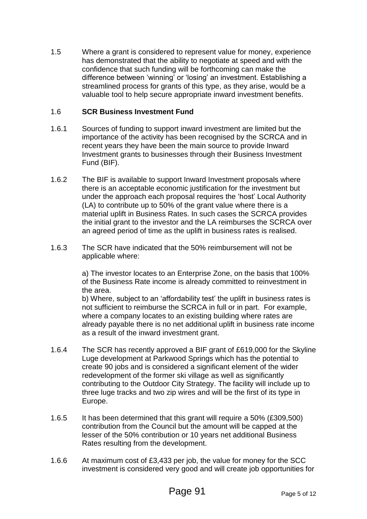1.5 Where a grant is considered to represent value for money, experience has demonstrated that the ability to negotiate at speed and with the confidence that such funding will be forthcoming can make the difference between 'winning' or 'losing' an investment. Establishing a streamlined process for grants of this type, as they arise, would be a valuable tool to help secure appropriate inward investment benefits.

#### 1.6 **SCR Business Investment Fund**

- 1.6.1 Sources of funding to support inward investment are limited but the importance of the activity has been recognised by the SCRCA and in recent years they have been the main source to provide Inward Investment grants to businesses through their Business Investment Fund (BIF).
- 1.6.2 The BIF is available to support Inward Investment proposals where there is an acceptable economic justification for the investment but under the approach each proposal requires the 'host' Local Authority (LA) to contribute up to 50% of the grant value where there is a material uplift in Business Rates. In such cases the SCRCA provides the initial grant to the investor and the LA reimburses the SCRCA over an agreed period of time as the uplift in business rates is realised.
- 1.6.3 The SCR have indicated that the 50% reimbursement will not be applicable where:

a) The investor locates to an Enterprise Zone, on the basis that 100% of the Business Rate income is already committed to reinvestment in the area.

b) Where, subject to an 'affordability test' the uplift in business rates is not sufficient to reimburse the SCRCA in full or in part. For example, where a company locates to an existing building where rates are already payable there is no net additional uplift in business rate income as a result of the inward investment grant.

- 1.6.4 The SCR has recently approved a BIF grant of £619,000 for the Skyline Luge development at Parkwood Springs which has the potential to create 90 jobs and is considered a significant element of the wider redevelopment of the former ski village as well as significantly contributing to the Outdoor City Strategy. The facility will include up to three luge tracks and two zip wires and will be the first of its type in Europe.
- 1.6.5 It has been determined that this grant will require a 50% (£309,500) contribution from the Council but the amount will be capped at the lesser of the 50% contribution or 10 years net additional Business Rates resulting from the development.
- 1.6.6 At maximum cost of £3,433 per job, the value for money for the SCC investment is considered very good and will create job opportunities for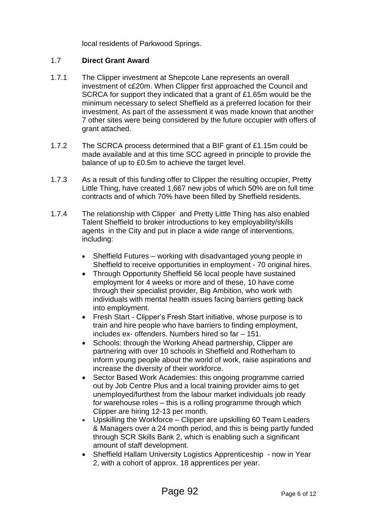local residents of Parkwood Springs.

### 1.7 **Direct Grant Award**

- 1.7.1 The Clipper investment at Shepcote Lane represents an overall investment of c£20m. When Clipper first approached the Council and SCRCA for support they indicated that a grant of £1.65m would be the minimum necessary to select Sheffield as a preferred location for their investment. As part of the assessment it was made known that another 7 other sites were being considered by the future occupier with offers of grant attached.
- 1.7.2 The SCRCA process determined that a BIF grant of £1.15m could be made available and at this time SCC agreed in principle to provide the balance of up to £0.5m to achieve the target level.
- 1.7.3 As a result of this funding offer to Clipper the resulting occupier, Pretty Little Thing, have created 1,667 new jobs of which 50% are on full time contracts and of which 70% have been filled by Sheffield residents.
- 1.7.4 The relationship with Clipper and Pretty Little Thing has also enabled Talent Sheffield to broker introductions to key employability/skills agents in the City and put in place a wide range of interventions, including:
	- Sheffield Futures working with disadvantaged young people in Sheffield to receive opportunities in employment - 70 original hires.
	- Through Opportunity Sheffield 56 local people have sustained employment for 4 weeks or more and of these, 10 have come through their specialist provider, Big Ambition, who work with individuals with mental health issues facing barriers getting back into employment.
	- Fresh Start Clipper's Fresh Start initiative, whose purpose is to train and hire people who have barriers to finding employment, includes ex- offenders. Numbers hired so far – 151.
	- Schools: through the Working Ahead partnership, Clipper are partnering with over 10 schools in Sheffield and Rotherham to inform young people about the world of work, raise aspirations and increase the diversity of their workforce.
	- Sector Based Work Academies: this ongoing programme carried out by Job Centre Plus and a local training provider aims to get unemployed/furthest from the labour market individuals job ready for warehouse roles – this is a rolling programme through which Clipper are hiring 12-13 per month.
	- Upskilling the Workforce Clipper are upskilling 60 Team Leaders & Managers over a 24 month period, and this is being partly funded through SCR Skills Bank 2, which is enabling such a significant amount of staff development.
	- Sheffield Hallam University Logistics Apprenticeship now in Year 2, with a cohort of approx. 18 apprentices per year.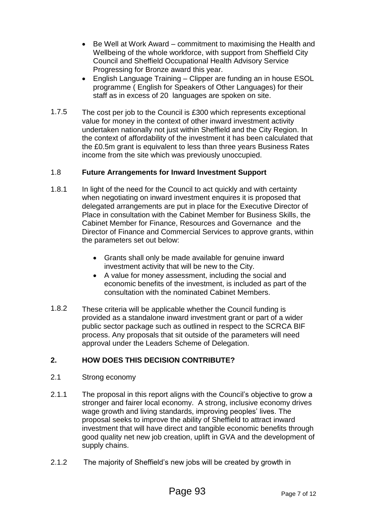- Be Well at Work Award commitment to maximising the Health and Wellbeing of the whole workforce, with support from Sheffield City Council and Sheffield Occupational Health Advisory Service Progressing for Bronze award this year.
- English Language Training Clipper are funding an in house ESOL programme ( English for Speakers of Other Languages) for their staff as in excess of 20 languages are spoken on site.
- 1.7.5 The cost per job to the Council is £300 which represents exceptional value for money in the context of other inward investment activity undertaken nationally not just within Sheffield and the City Region. In the context of affordability of the investment it has been calculated that the £0.5m grant is equivalent to less than three years Business Rates income from the site which was previously unoccupied.

### 1.8 **Future Arrangements for Inward Investment Support**

- 1.8.1 In light of the need for the Council to act quickly and with certainty when negotiating on inward investment enquires it is proposed that delegated arrangements are put in place for the Executive Director of Place in consultation with the Cabinet Member for Business Skills, the Cabinet Member for Finance, Resources and Governance and the Director of Finance and Commercial Services to approve grants, within the parameters set out below:
	- Grants shall only be made available for genuine inward investment activity that will be new to the City.
	- A value for money assessment, including the social and economic benefits of the investment, is included as part of the consultation with the nominated Cabinet Members.
- 1.8.2 These criteria will be applicable whether the Council funding is provided as a standalone inward investment grant or part of a wider public sector package such as outlined in respect to the SCRCA BIF process. Any proposals that sit outside of the parameters will need approval under the Leaders Scheme of Delegation.

## **2. HOW DOES THIS DECISION CONTRIBUTE?**

- 2.1 Strong economy
- 2.1.1 The proposal in this report aligns with the Council's objective to grow a stronger and fairer local economy. A strong, inclusive economy drives wage growth and living standards, improving peoples' lives. The proposal seeks to improve the ability of Sheffield to attract inward investment that will have direct and tangible economic benefits through good quality net new job creation, uplift in GVA and the development of supply chains.
- 2.1.2 The majority of Sheffield's new jobs will be created by growth in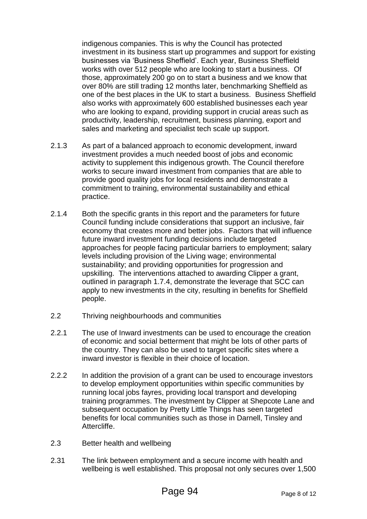indigenous companies. This is why the Council has protected investment in its business start up programmes and support for existing businesses via 'Business Sheffield'. Each year, Business Sheffield works with over 512 people who are looking to start a business. Of those, approximately 200 go on to start a business and we know that over 80% are still trading 12 months later, benchmarking Sheffield as one of the best places in the UK to start a business. Business Sheffield also works with approximately 600 established businesses each year who are looking to expand, providing support in crucial areas such as productivity, leadership, recruitment, business planning, export and sales and marketing and specialist tech scale up support.

- 2.1.3 As part of a balanced approach to economic development, inward investment provides a much needed boost of jobs and economic activity to supplement this indigenous growth. The Council therefore works to secure inward investment from companies that are able to provide good quality jobs for local residents and demonstrate a commitment to training, environmental sustainability and ethical practice.
- 2.1.4 Both the specific grants in this report and the parameters for future Council funding include considerations that support an inclusive, fair economy that creates more and better jobs. Factors that will influence future inward investment funding decisions include targeted approaches for people facing particular barriers to employment; salary levels including provision of the Living wage; environmental sustainability; and providing opportunities for progression and upskilling. The interventions attached to awarding Clipper a grant, outlined in paragraph 1.7.4, demonstrate the leverage that SCC can apply to new investments in the city, resulting in benefits for Sheffield people.
- 2.2 Thriving neighbourhoods and communities
- 2.2.1 The use of Inward investments can be used to encourage the creation of economic and social betterment that might be lots of other parts of the country. They can also be used to target specific sites where a inward investor is flexible in their choice of location.
- 2.2.2 In addition the provision of a grant can be used to encourage investors to develop employment opportunities within specific communities by running local jobs fayres, providing local transport and developing training programmes. The investment by Clipper at Shepcote Lane and subsequent occupation by Pretty Little Things has seen targeted benefits for local communities such as those in Darnell, Tinsley and Attercliffe.
- 2.3 Better health and wellbeing
- 2.31 The link between employment and a secure income with health and wellbeing is well established. This proposal not only secures over 1,500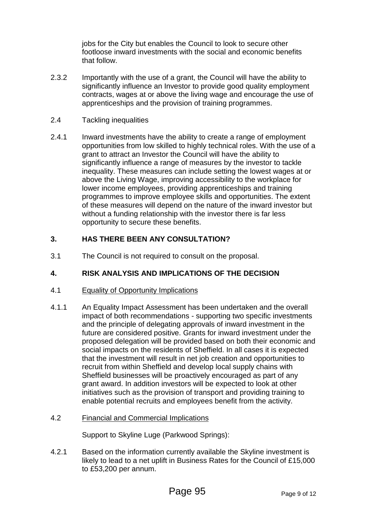jobs for the City but enables the Council to look to secure other footloose inward investments with the social and economic benefits that follow.

- 2.3.2 Importantly with the use of a grant, the Council will have the ability to significantly influence an Investor to provide good quality employment contracts, wages at or above the living wage and encourage the use of apprenticeships and the provision of training programmes.
- 2.4 Tackling inequalities
- 2.4.1 Inward investments have the ability to create a range of employment opportunities from low skilled to highly technical roles. With the use of a grant to attract an Investor the Council will have the ability to significantly influence a range of measures by the investor to tackle inequality. These measures can include setting the lowest wages at or above the Living Wage, improving accessibility to the workplace for lower income employees, providing apprenticeships and training programmes to improve employee skills and opportunities. The extent of these measures will depend on the nature of the inward investor but without a funding relationship with the investor there is far less opportunity to secure these benefits.

### **3. HAS THERE BEEN ANY CONSULTATION?**

3.1 The Council is not required to consult on the proposal.

### **4. RISK ANALYSIS AND IMPLICATIONS OF THE DECISION**

- 4.1 Equality of Opportunity Implications
- 4.1.1 An Equality Impact Assessment has been undertaken and the overall impact of both recommendations - supporting two specific investments and the principle of delegating approvals of inward investment in the future are considered positive. Grants for inward investment under the proposed delegation will be provided based on both their economic and social impacts on the residents of Sheffield. In all cases it is expected that the investment will result in net job creation and opportunities to recruit from within Sheffield and develop local supply chains with Sheffield businesses will be proactively encouraged as part of any grant award. In addition investors will be expected to look at other initiatives such as the provision of transport and providing training to enable potential recruits and employees benefit from the activity.

### 4.2 Financial and Commercial Implications

Support to Skyline Luge (Parkwood Springs):

4*.*2.1 Based on the information currently available the Skyline investment is likely to lead to a net uplift in Business Rates for the Council of £15,000 to £53,200 per annum.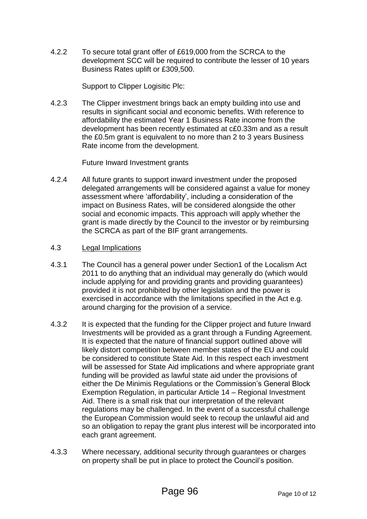4.2.2 To secure total grant offer of £619,000 from the SCRCA to the development SCC will be required to contribute the lesser of 10 years Business Rates uplift or £309,500.

Support to Clipper Logisitic Plc:

4.2.3 The Clipper investment brings back an empty building into use and results in significant social and economic benefits. With reference to affordability the estimated Year 1 Business Rate income from the development has been recently estimated at c£0.33m and as a result the £0.5m grant is equivalent to no more than 2 to 3 years Business Rate income from the development.

Future Inward Investment grants

- 4.2.4 All future grants to support inward investment under the proposed delegated arrangements will be considered against a value for money assessment where 'affordability', including a consideration of the impact on Business Rates, will be considered alongside the other social and economic impacts. This approach will apply whether the grant is made directly by the Council to the investor or by reimbursing the SCRCA as part of the BIF grant arrangements.
- 4.3 Legal Implications
- 4.3.1 The Council has a general power under Section1 of the Localism Act 2011 to do anything that an individual may generally do (which would include applying for and providing grants and providing guarantees) provided it is not prohibited by other legislation and the power is exercised in accordance with the limitations specified in the Act e.g. around charging for the provision of a service.
- 4.3.2 It is expected that the funding for the Clipper project and future Inward Investments will be provided as a grant through a Funding Agreement. It is expected that the nature of financial support outlined above will likely distort competition between member states of the EU and could be considered to constitute State Aid. In this respect each investment will be assessed for State Aid implications and where appropriate grant funding will be provided as lawful state aid under the provisions of either the De Minimis Regulations or the Commission's General Block Exemption Regulation, in particular Article 14 – Regional Investment Aid. There is a small risk that our interpretation of the relevant regulations may be challenged. In the event of a successful challenge the European Commission would seek to recoup the unlawful aid and so an obligation to repay the grant plus interest will be incorporated into each grant agreement.
- 4.3.3 Where necessary, additional security through guarantees or charges on property shall be put in place to protect the Council's position.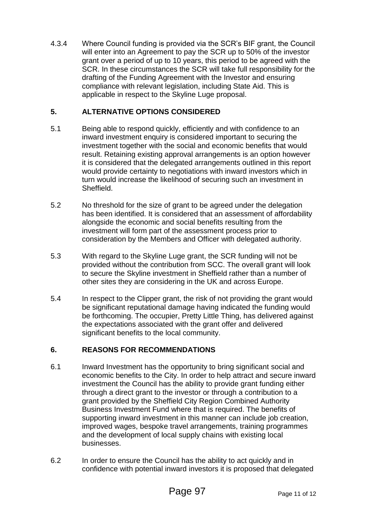4.3.4 Where Council funding is provided via the SCR's BIF grant, the Council will enter into an Agreement to pay the SCR up to 50% of the investor grant over a period of up to 10 years, this period to be agreed with the SCR. In these circumstances the SCR will take full responsibility for the drafting of the Funding Agreement with the Investor and ensuring compliance with relevant legislation, including State Aid. This is applicable in respect to the Skyline Luge proposal.

### **5. ALTERNATIVE OPTIONS CONSIDERED**

- 5.1 Being able to respond quickly, efficiently and with confidence to an inward investment enquiry is considered important to securing the investment together with the social and economic benefits that would result. Retaining existing approval arrangements is an option however it is considered that the delegated arrangements outlined in this report would provide certainty to negotiations with inward investors which in turn would increase the likelihood of securing such an investment in Sheffield.
- 5.2 No threshold for the size of grant to be agreed under the delegation has been identified. It is considered that an assessment of affordability alongside the economic and social benefits resulting from the investment will form part of the assessment process prior to consideration by the Members and Officer with delegated authority.
- 5.3 With regard to the Skyline Luge grant, the SCR funding will not be provided without the contribution from SCC. The overall grant will look to secure the Skyline investment in Sheffield rather than a number of other sites they are considering in the UK and across Europe.
- 5.4 In respect to the Clipper grant, the risk of not providing the grant would be significant reputational damage having indicated the funding would be forthcoming. The occupier, Pretty Little Thing, has delivered against the expectations associated with the grant offer and delivered significant benefits to the local community.

### **6. REASONS FOR RECOMMENDATIONS**

- 6.1 Inward Investment has the opportunity to bring significant social and economic benefits to the City. In order to help attract and secure inward investment the Council has the ability to provide grant funding either through a direct grant to the investor or through a contribution to a grant provided by the Sheffield City Region Combined Authority Business Investment Fund where that is required. The benefits of supporting inward investment in this manner can include job creation, improved wages, bespoke travel arrangements, training programmes and the development of local supply chains with existing local businesses.
- 6.2 In order to ensure the Council has the ability to act quickly and in confidence with potential inward investors it is proposed that delegated